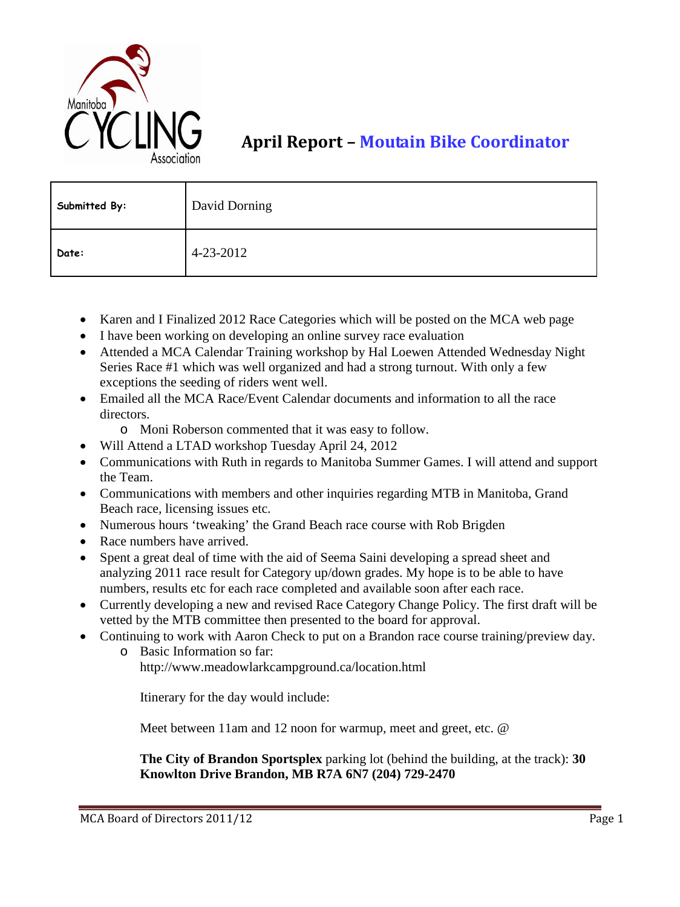

## **April Report – Moutain Bike Coordinator**

| Submitted By: | David Dorning |
|---------------|---------------|
| Date:         | 4-23-2012     |

- Karen and I Finalized 2012 Race Categories which will be posted on the MCA web page
- I have been working on developing an online survey race evaluation
- Attended a MCA Calendar Training workshop by Hal Loewen Attended Wednesday Night Series Race #1 which was well organized and had a strong turnout. With only a few exceptions the seeding of riders went well.
- Emailed all the MCA Race/Event Calendar documents and information to all the race directors.
	- o Moni Roberson commented that it was easy to follow.
- Will Attend a LTAD workshop Tuesday April 24, 2012
- Communications with Ruth in regards to Manitoba Summer Games. I will attend and support the Team.
- Communications with members and other inquiries regarding MTB in Manitoba, Grand Beach race, licensing issues etc.
- Numerous hours 'tweaking' the Grand Beach race course with Rob Brigden
- Race numbers have arrived.
- Spent a great deal of time with the aid of Seema Saini developing a spread sheet and analyzing 2011 race result for Category up/down grades. My hope is to be able to have numbers, results etc for each race completed and available soon after each race.
- Currently developing a new and revised Race Category Change Policy. The first draft will be vetted by the MTB committee then presented to the board for approval.
- Continuing to work with Aaron Check to put on a Brandon race course training/preview day.
	- o Basic Information so far:

http://www.meadowlarkcampground.ca/location.html

Itinerary for the day would include:

Meet between 11am and 12 noon for warmup, meet and greet, etc. @

**The City of Brandon Sportsplex** parking lot (behind the building, at the track): **30 Knowlton Drive Brandon, MB R7A 6N7 (204) 729-2470**